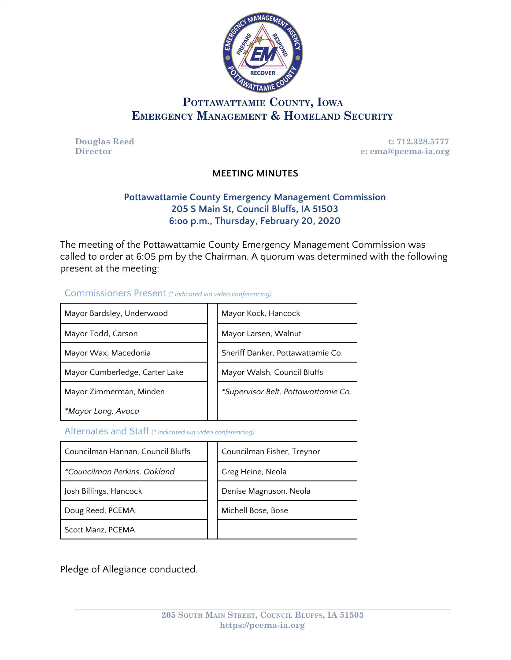

# **POTTAWATTAMIE COUNTY, IOWA EMERGENCY MANAGEMENT & HOMELAND SECURITY**

**Douglas Reed t: 712.328.5777**<br> **Director e: ema@pcema-ia.org Director e: ema@pcema-ia.org**

## **MEETING MINUTES**

## **Pottawattamie County Emergency Management Commission 205 S Main St, Council Bluffs, IA 51503 6:oo p.m., Thursday, February 20, 2020**

The meeting of the Pottawattamie County Emergency Management Commission was called to order at 6:05 pm by the Chairman. A quorum was determined with the following present at the meeting:

#### Commissioners Present *(\* indicated via video conferencing)*

| Mayor Bardsley, Underwood      | Mayor Kock, Hancock                 |
|--------------------------------|-------------------------------------|
| Mayor Todd, Carson             | Mayor Larsen, Walnut                |
| Mayor Wax, Macedonia           | Sheriff Danker, Pottawattamie Co.   |
| Mayor Cumberledge, Carter Lake | Mayor Walsh, Council Bluffs         |
| Mayor Zimmerman, Minden        | *Supervisor Belt, Pottawattamie Co. |
| *Mayor Long, Avoca             |                                     |

Alternates and Staff *(\* indicated via video conferencing)*

| Councilman Hannan, Council Bluffs | Councilman Fisher, Treynor |
|-----------------------------------|----------------------------|
| *Councilman Perkins, Oakland      | Greg Heine, Neola          |
| Josh Billings, Hancock            | Denise Magnuson, Neola     |
| Doug Reed, PCEMA                  | Michell Bose, Bose         |
| Scott Manz, PCEMA                 |                            |

Pledge of Allegiance conducted.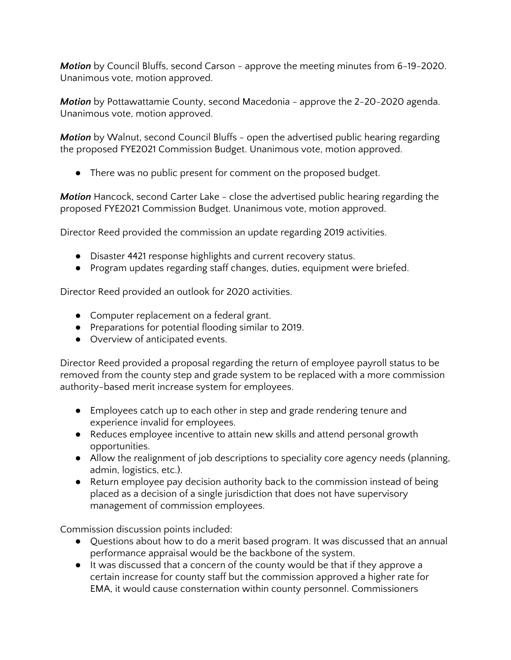*Motion* by Council Bluffs, second Carson - approve the meeting minutes from 6-19-2020. Unanimous vote, motion approved.

*Motion* by Pottawattamie County, second Macedonia - approve the 2-20-2020 agenda. Unanimous vote, motion approved.

*Motion* by Walnut, second Council Bluffs - open the advertised public hearing regarding the proposed FYE2021 Commission Budget. Unanimous vote, motion approved.

● There was no public present for comment on the proposed budget.

*Motion* Hancock, second Carter Lake - close the advertised public hearing regarding the proposed FYE2021 Commission Budget. Unanimous vote, motion approved.

Director Reed provided the commission an update regarding 2019 activities.

- Disaster 4421 response highlights and current recovery status.
- Program updates regarding staff changes, duties, equipment were briefed.

Director Reed provided an outlook for 2020 activities.

- Computer replacement on a federal grant.
- Preparations for potential flooding similar to 2019.
- Overview of anticipated events.

Director Reed provided a proposal regarding the return of employee payroll status to be removed from the county step and grade system to be replaced with a more commission authority-based merit increase system for employees.

- Employees catch up to each other in step and grade rendering tenure and experience invalid for employees.
- Reduces employee incentive to attain new skills and attend personal growth opportunities.
- Allow the realignment of job descriptions to speciality core agency needs (planning, admin, logistics, etc.).
- Return employee pay decision authority back to the commission instead of being placed as a decision of a single jurisdiction that does not have supervisory management of commission employees.

Commission discussion points included:

- Questions about how to do a merit based program. It was discussed that an annual performance appraisal would be the backbone of the system.
- It was discussed that a concern of the county would be that if they approve a certain increase for county staff but the commission approved a higher rate for EMA, it would cause consternation within county personnel. Commissioners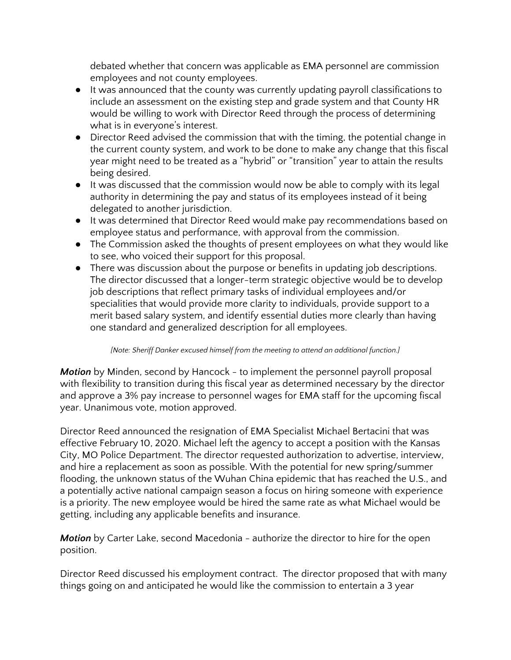debated whether that concern was applicable as EMA personnel are commission employees and not county employees.

- It was announced that the county was currently updating payroll classifications to include an assessment on the existing step and grade system and that County HR would be willing to work with Director Reed through the process of determining what is in everyone's interest.
- Director Reed advised the commission that with the timing, the potential change in the current county system, and work to be done to make any change that this fiscal year might need to be treated as a "hybrid" or "transition" year to attain the results being desired.
- It was discussed that the commission would now be able to comply with its legal authority in determining the pay and status of its employees instead of it being delegated to another jurisdiction.
- It was determined that Director Reed would make pay recommendations based on employee status and performance, with approval from the commission.
- The Commission asked the thoughts of present employees on what they would like to see, who voiced their support for this proposal.
- There was discussion about the purpose or benefits in updating job descriptions. The director discussed that a longer-term strategic objective would be to develop job descriptions that reflect primary tasks of individual employees and/or specialities that would provide more clarity to individuals, provide support to a merit based salary system, and identify essential duties more clearly than having one standard and generalized description for all employees.

#### *[Note: Sheriff Danker excused himself from the meeting to attend an additional function.]*

*Motion* by Minden, second by Hancock - to implement the personnel payroll proposal with flexibility to transition during this fiscal year as determined necessary by the director and approve a 3% pay increase to personnel wages for EMA staff for the upcoming fiscal year. Unanimous vote, motion approved.

Director Reed announced the resignation of EMA Specialist Michael Bertacini that was effective February 10, 2020. Michael left the agency to accept a position with the Kansas City, MO Police Department. The director requested authorization to advertise, interview, and hire a replacement as soon as possible. With the potential for new spring/summer flooding, the unknown status of the Wuhan China epidemic that has reached the U.S., and a potentially active national campaign season a focus on hiring someone with experience is a priority. The new employee would be hired the same rate as what Michael would be getting, including any applicable benefits and insurance.

*Motion* by Carter Lake, second Macedonia - authorize the director to hire for the open position.

Director Reed discussed his employment contract. The director proposed that with many things going on and anticipated he would like the commission to entertain a 3 year